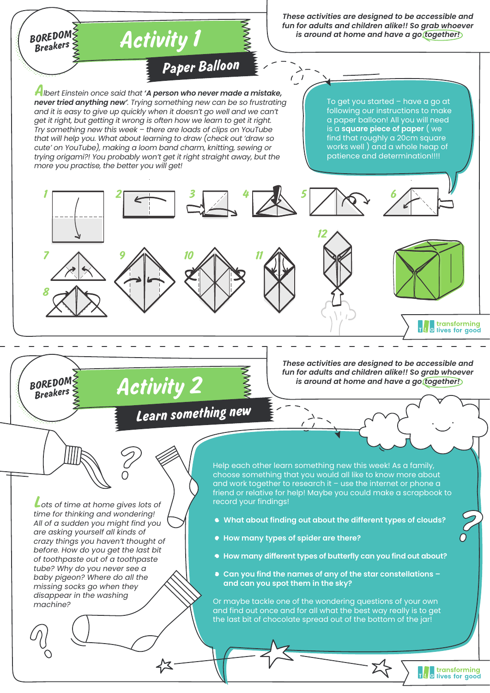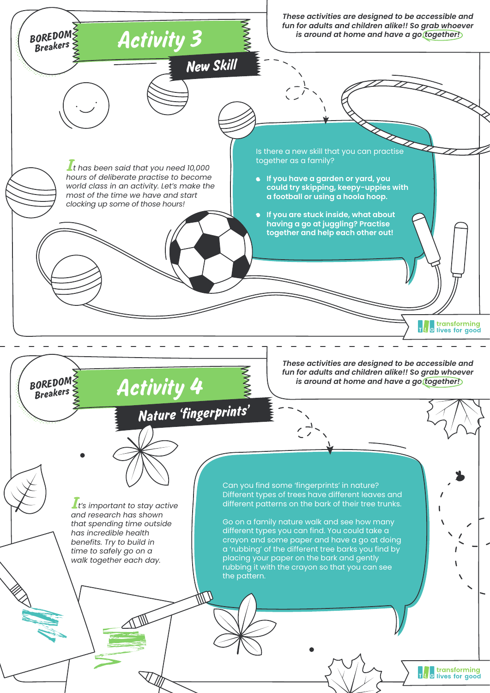